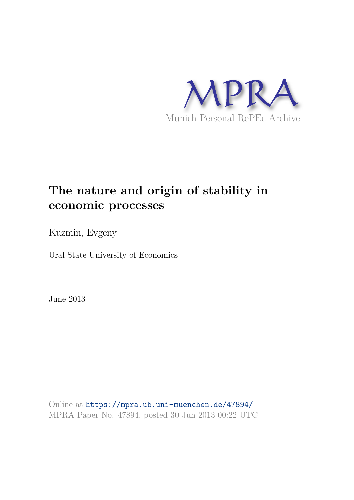

# **The nature and origin of stability in economic processes**

Kuzmin, Evgeny

Ural State University of Economics

June 2013

Online at https://mpra.ub.uni-muenchen.de/47894/ MPRA Paper No. 47894, posted 30 Jun 2013 00:22 UTC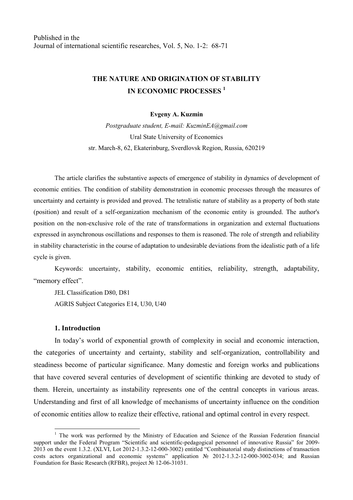# **THE NATURE AND ORIGINATION OF STABILITY IN ECONOMIC PROCESSES <sup>1</sup>**

#### **Evgeny A. Kuzmin**

*Postgraduate student, E-mail: KuzminEA@gmail.com*  Ural State University of Economics str. March-8, 62, Ekaterinburg, Sverdlovsk Region, Russia, 620219

The article clarifies the substantive aspects of emergence of stability in dynamics of development of economic entities. The condition of stability demonstration in economic processes through the measures of uncertainty and certainty is provided and proved. The tetralistic nature of stability as a property of both state (position) and result of a self-organization mechanism of the economic entity is grounded. The author's position on the non-exclusive role of the rate of transformations in organization and external fluctuations expressed in asynchronous oscillations and responses to them is reasoned. The role of strength and reliability in stability characteristic in the course of adaptation to undesirable deviations from the idealistic path of a life cycle is given.

Keywords: uncertainty, stability, economic entities, reliability, strength, adaptability, "memory effect".

JEL Classification D80, D81 AGRIS Subject Categories E14, U30, U40

# **1. Introduction**

 $\overline{a}$ 

In today's world of exponential growth of complexity in social and economic interaction, the categories of uncertainty and certainty, stability and self-organization, controllability and steadiness become of particular significance. Many domestic and foreign works and publications that have covered several centuries of development of scientific thinking are devoted to study of them. Herein, uncertainty as instability represents one of the central concepts in various areas. Understanding and first of all knowledge of mechanisms of uncertainty influence on the condition of economic entities allow to realize their effective, rational and optimal control in every respect.

<sup>&</sup>lt;sup>1</sup> The work was performed by the Ministry of Education and Science of the Russian Federation financial support under the Federal Program "Scientific and scientific-pedagogical personnel of innovative Russia" for 2009-2013 on the event 1.3.2. (XLVI, Lot 2012-1.3.2-12-000-3002) entitled "Combinatorial study distinctions of transaction costs actors organizational and economic systems" application № 2012-1.3.2-12-000-3002-034; and Russian Foundation for Basic Research (RFBR), project № 12-06-31031.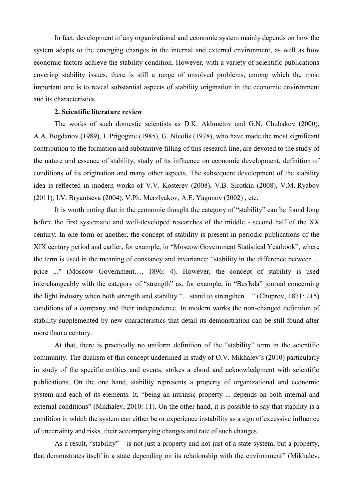In fact, development of any organizational and economic system mainly depends on how the system adapts to the emerging changes in the internal and external environment, as well as how economic factors achieve the stability condition. However, with a variety of scientific publications covering stability issues, there is still a range of unsolved problems, among which the most important one is to reveal substantial aspects of stability origination in the economic environment and its characteristics.

#### **2. Scientific literature review**

The works of such domestic scientists as D.K. Akhmetov and G.N. Chubakov (2000), A.A. Bogdanov (1989), I. Prigogine (1985), G. Nicolis (1978), who have made the most significant contribution to the formation and substantive filling of this research line, are devoted to the study of the nature and essence of stability, study of its influence on economic development, definition of conditions of its origination and many other aspects. The subsequent development of the stability idea is reflected in modern works of V.V. Kosterev (2008), V.B. Sirotkin (2008), V.M. Ryabov (2011), I.V. Bryantseva (2004), V.Ph. Merzlyakov, A.E. Yagunov (2002) , etc.

It is worth noting that in the economic thought the category of "stability" can be found long before the first systematic and well-developed researches of the middle - second half of the XX century. In one form or another, the concept of stability is present in periodic publications of the XIX century period and earlier, for example, in "Moscow Government Statistical Yearbook", where the term is used in the meaning of constancy and invariance: "stability in the difference between ... price ..." (Moscow Government…, 1896: 4). However, the concept of stability is used interchangeably with the category of "strength" as, for example, in "BesЪda" journal concerning the light industry when both strength and stability "... stand to strengthen ..." (Chuprov, 1871: 215) conditions of a company and their independence. In modern works the non-changed definition of stability supplemented by new characteristics that detail its demonstration can be still found after more than a century.

At that, there is practically no uniform definition of the "stability" term in the scientific community. The dualism of this concept underlined in study of O.V. Mikhalev's (2010) particularly in study of the specific entities and events, strikes a chord and acknowledgment with scientific publications. On the one hand, stability represents a property of organizational and economic system and each of its elements. It, "being an intrinsic property ... depends on both internal and external conditions" (Mikhalev, 2010: 11). On the other hand, it is possible to say that stability is a condition in which the system can either be or experience instability as a sign of excessive influence of uncertainty and risks, their accompanying changes and rate of such changes.

As a result, "stability" – is not just a property and not just of a state system, but a property, that demonstrates itself in a state depending on its relationship with the environment" (Mikhalev,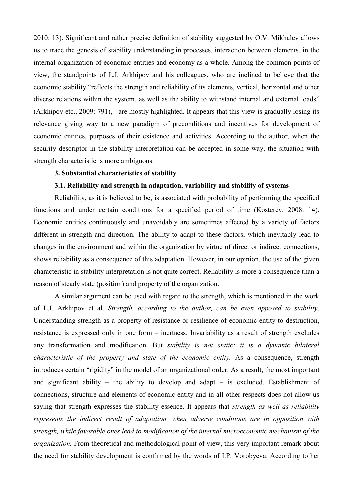2010: 13). Significant and rather precise definition of stability suggested by O.V. Mikhalev allows us to trace the genesis of stability understanding in processes, interaction between elements, in the internal organization of economic entities and economy as a whole. Among the common points of view, the standpoints of L.I. Arkhipov and his colleagues, who are inclined to believe that the economic stability "reflects the strength and reliability of its elements, vertical, horizontal and other diverse relations within the system, as well as the ability to withstand internal and external loads" (Arkhipov etc., 2009: 791), - are mostly highlighted. It appears that this view is gradually losing its relevance giving way to a new paradigm of preconditions and incentives for development of economic entities, purposes of their existence and activities. According to the author, when the security descriptor in the stability interpretation can be accepted in some way, the situation with strength characteristic is more ambiguous.

#### **3. Substantial characteristics of stability**

# **3.1. Reliability and strength in adaptation, variability and stability of systems**

Reliability, as it is believed to be, is associated with probability of performing the specified functions and under certain conditions for a specified period of time (Kosterev, 2008: 14). Economic entities continuously and unavoidably are sometimes affected by a variety of factors different in strength and direction. The ability to adapt to these factors, which inevitably lead to changes in the environment and within the organization by virtue of direct or indirect connections, shows reliability as a consequence of this adaptation. However, in our opinion, the use of the given characteristic in stability interpretation is not quite correct. Reliability is more a consequence than a reason of steady state (position) and property of the organization.

A similar argument can be used with regard to the strength, which is mentioned in the work of L.I. Arkhipov et al. *Strength, according to the author, can be even opposed to stability*. Understanding strength as a property of resistance or resilience of economic entity to destruction, resistance is expressed only in one form – inertness. Invariability as a result of strength excludes any transformation and modification. But *stability is not static; it is a dynamic bilateral characteristic of the property and state of the economic entity.* As a consequence, strength introduces certain "rigidity" in the model of an organizational order. As a result, the most important and significant ability – the ability to develop and adapt – is excluded. Establishment of connections, structure and elements of economic entity and in all other respects does not allow us saying that strength expresses the stability essence. It appears that *strength as well as reliability represents the indirect result of adaptation, when adverse conditions are in opposition with strength, while favorable ones lead to modification of the internal microeconomic mechanism of the organization.* From theoretical and methodological point of view, this very important remark about the need for stability development is confirmed by the words of I.P. Vorobyeva. According to her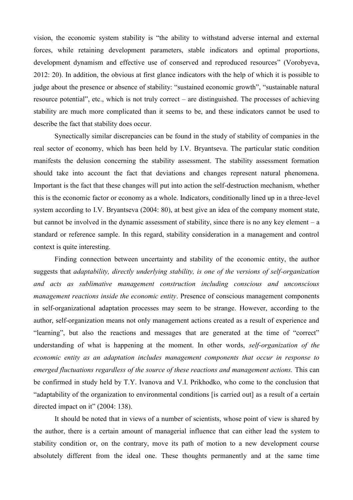vision, the economic system stability is "the ability to withstand adverse internal and external forces, while retaining development parameters, stable indicators and optimal proportions, development dynamism and effective use of conserved and reproduced resources" (Vorobyeva, 2012: 20). In addition, the obvious at first glance indicators with the help of which it is possible to judge about the presence or absence of stability: "sustained economic growth", "sustainable natural resource potential", etc., which is not truly correct – are distinguished. The processes of achieving stability are much more complicated than it seems to be, and these indicators cannot be used to describe the fact that stability does occur.

Synectically similar discrepancies can be found in the study of stability of companies in the real sector of economy, which has been held by I.V. Bryantseva. The particular static condition manifests the delusion concerning the stability assessment. The stability assessment formation should take into account the fact that deviations and changes represent natural phenomena. Important is the fact that these changes will put into action the self-destruction mechanism, whether this is the economic factor or economy as a whole. Indicators, conditionally lined up in a three-level system according to I.V. Bryantseva (2004: 80), at best give an idea of the company moment state, but cannot be involved in the dynamic assessment of stability, since there is no any key element – a standard or reference sample. In this regard, stability consideration in a management and control context is quite interesting.

Finding connection between uncertainty and stability of the economic entity, the author suggests that *adaptability, directly underlying stability, is one of the versions of self-organization and acts as sublimative management construction including conscious and unconscious management reactions inside the economic entity*. Presence of conscious management components in self-organizational adaptation processes may seem to be strange. However, according to the author, self-organization means not only management actions created as a result of experience and "learning", but also the reactions and messages that are generated at the time of "correct" understanding of what is happening at the moment. In other words, *self-organization of the economic entity as an adaptation includes management components that occur in response to emerged fluctuations regardless of the source of these reactions and management actions.* This can be confirmed in study held by T.Y. Ivanova and V.I. Prikhodko, who come to the conclusion that "adaptability of the organization to environmental conditions [is carried out] as a result of a certain directed impact on it" (2004: 138).

It should be noted that in views of a number of scientists, whose point of view is shared by the author, there is a certain amount of managerial influence that can either lead the system to stability condition or, on the contrary, move its path of motion to a new development course absolutely different from the ideal one. These thoughts permanently and at the same time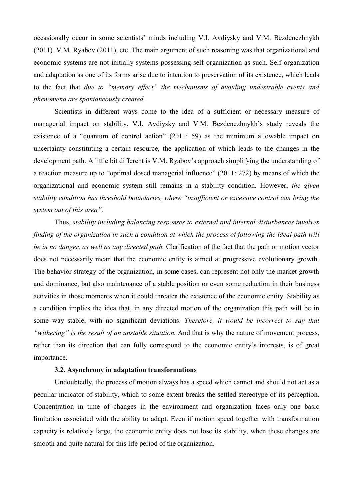occasionally occur in some scientists' minds including V.I. Avdiysky and V.M. Bezdenezhnykh (2011), V.M. Ryabov (2011), etc. The main argument of such reasoning was that organizational and economic systems are not initially systems possessing self-organization as such. Self-organization and adaptation as one of its forms arise due to intention to preservation of its existence, which leads to the fact that *due to "memory effect" the mechanisms of avoiding undesirable events and phenomena are spontaneously created.*

Scientists in different ways come to the idea of a sufficient or necessary measure of managerial impact on stability. V.I. Avdiysky and V.M. Bezdenezhnykh's study reveals the existence of a "quantum of control action" (2011: 59) as the minimum allowable impact on uncertainty constituting a certain resource, the application of which leads to the changes in the development path. A little bit different is V.M. Ryabov's approach simplifying the understanding of a reaction measure up to "optimal dosed managerial influence" (2011: 272) by means of which the organizational and economic system still remains in a stability condition. However, *the given stability condition has threshold boundaries, where "insufficient or excessive control can bring the system out of this area".*

Thus, *stability including balancing responses to external and internal disturbances involves finding of the organization in such a condition at which the process of following the ideal path will be in no danger, as well as any directed path.* Clarification of the fact that the path or motion vector does not necessarily mean that the economic entity is aimed at progressive evolutionary growth. The behavior strategy of the organization, in some cases, can represent not only the market growth and dominance, but also maintenance of a stable position or even some reduction in their business activities in those moments when it could threaten the existence of the economic entity. Stability as a condition implies the idea that, in any directed motion of the organization this path will be in some way stable, with no significant deviations. *Therefore, it would be incorrect to say that "withering" is the result of an unstable situation.* And that is why the nature of movement process, rather than its direction that can fully correspond to the economic entity's interests, is of great importance.

# **3.2. Asynchrony in adaptation transformations**

Undoubtedly, the process of motion always has a speed which cannot and should not act as a peculiar indicator of stability, which to some extent breaks the settled stereotype of its perception. Concentration in time of changes in the environment and organization faces only one basic limitation associated with the ability to adapt. Even if motion speed together with transformation capacity is relatively large, the economic entity does not lose its stability, when these changes are smooth and quite natural for this life period of the organization.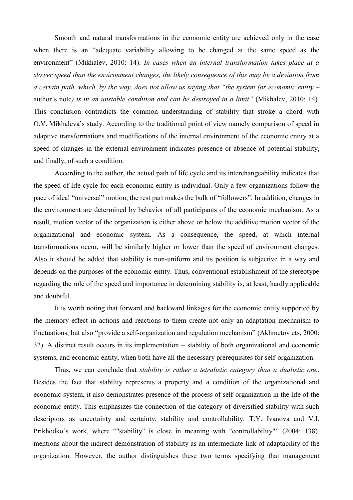Smooth and natural transformations in the economic entity are achieved only in the case when there is an "adequate variability allowing to be changed at the same speed as the environment" (Mikhalev, 2010: 14). *In cases when an internal transformation takes place at a slower speed than the environment changes, the likely consequence of this may be a deviation from a certain path, which, by the way, does not allow us saying that "the system (or economic entity –* author's note*) is in an unstable condition and can be destroyed in a limit"* (Mikhalev, 2010: 14)*.* This conclusion contradicts the common understanding of stability that stroke a chord with O.V. Mikhaleva's study. According to the traditional point of view namely comparison of speed in adaptive transformations and modifications of the internal environment of the economic entity at a speed of changes in the external environment indicates presence or absence of potential stability, and finally, of such a condition.

According to the author, the actual path of life cycle and its interchangeability indicates that the speed of life cycle for each economic entity is individual. Only a few organizations follow the pace of ideal "universal" motion, the rest part makes the bulk of "followers". In addition, changes in the environment are determined by behavior of all participants of the economic mechanism. As a result, motion vector of the organization is either above or below the additive motion vector of the organizational and economic system. As a consequence, the speed, at which internal transformations occur, will be similarly higher or lower than the speed of environment changes. Also it should be added that stability is non-uniform and its position is subjective in a way and depends on the purposes of the economic entity. Thus, conventional establishment of the stereotype regarding the role of the speed and importance in determining stability is, at least, hardly applicable and doubtful.

It is worth noting that forward and backward linkages for the economic entity supported by the memory effect in actions and reactions to them create not only an adaptation mechanism to fluctuations, but also "provide a self-organization and regulation mechanism" (Akhmetov ets, 2000: 32). A distinct result occurs in its implementation – stability of both organizational and economic systems, and economic entity, when both have all the necessary prerequisites for self-organization.

Thus, we can conclude that *stability is rather a tetralistic category than a dualistic one*. Besides the fact that stability represents a property and a condition of the organizational and economic system, it also demonstrates presence of the process of self-organization in the life of the economic entity. This emphasizes the connection of the category of diversified stability with such descriptors as uncertainty and certainty, stability and controllability. T.Y. Ivanova and V.I. Prikhodko's work, where ""stability" is close in meaning with "controllability"" (2004: 138), mentions about the indirect demonstration of stability as an intermediate link of adaptability of the organization. However, the author distinguishes these two terms specifying that management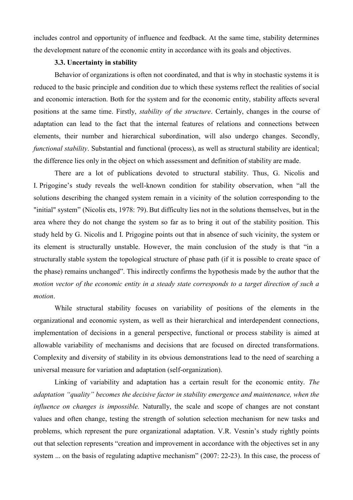includes control and opportunity of influence and feedback. At the same time, stability determines the development nature of the economic entity in accordance with its goals and objectives.

# **3.3. Uncertainty in stability**

Behavior of organizations is often not coordinated, and that is why in stochastic systems it is reduced to the basic principle and condition due to which these systems reflect the realities of social and economic interaction. Both for the system and for the economic entity, stability affects several positions at the same time. Firstly, *stability of the structure*. Certainly, changes in the course of adaptation can lead to the fact that the internal features of relations and connections between elements, their number and hierarchical subordination, will also undergo changes. Secondly, *functional stability*. Substantial and functional (process), as well as structural stability are identical; the difference lies only in the object on which assessment and definition of stability are made.

There are a lot of publications devoted to structural stability. Thus, G. Nicolis and I. Prigogine's study reveals the well-known condition for stability observation, when "all the solutions describing the changed system remain in a vicinity of the solution corresponding to the "initial" system" (Nicolis ets, 1978: 79). But difficulty lies not in the solutions themselves, but in the area where they do not change the system so far as to bring it out of the stability position. This study held by G. Nicolis and I. Prigogine points out that in absence of such vicinity, the system or its element is structurally unstable. However, the main conclusion of the study is that "in a structurally stable system the topological structure of phase path (if it is possible to create space of the phase) remains unchanged". This indirectly confirms the hypothesis made by the author that the *motion vector of the economic entity in a steady state corresponds to a target direction of such a motion*.

While structural stability focuses on variability of positions of the elements in the organizational and economic system, as well as their hierarchical and interdependent connections, implementation of decisions in a general perspective, functional or process stability is aimed at allowable variability of mechanisms and decisions that are focused on directed transformations. Complexity and diversity of stability in its obvious demonstrations lead to the need of searching a universal measure for variation and adaptation (self-organization).

Linking of variability and adaptation has a certain result for the economic entity. *The adaptation "quality" becomes the decisive factor in stability emergence and maintenance, when the influence on changes is impossible.* Naturally, the scale and scope of changes are not constant values and often change, testing the strength of solution selection mechanism for new tasks and problems, which represent the pure organizational adaptation. V.R. Vesnin's study rightly points out that selection represents "creation and improvement in accordance with the objectives set in any system ... on the basis of regulating adaptive mechanism" (2007: 22-23). In this case, the process of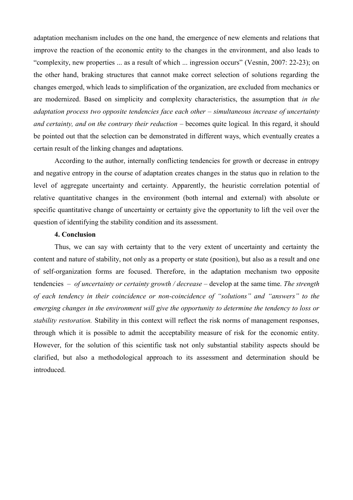adaptation mechanism includes on the one hand, the emergence of new elements and relations that improve the reaction of the economic entity to the changes in the environment, and also leads to "complexity, new properties ... as a result of which ... ingression occurs" (Vesnin, 2007: 22-23); on the other hand, braking structures that cannot make correct selection of solutions regarding the changes emerged, which leads to simplification of the organization, are excluded from mechanics or are modernized. Based on simplicity and complexity characteristics, the assumption that *in the adaptation process two opposite tendencies face each other – simultaneous increase of uncertainty and certainty, and on the contrary their reduction –* becomes quite logical*.* In this regard, it should be pointed out that the selection can be demonstrated in different ways, which eventually creates a certain result of the linking changes and adaptations.

According to the author, internally conflicting tendencies for growth or decrease in entropy and negative entropy in the course of adaptation creates changes in the status quo in relation to the level of aggregate uncertainty and certainty. Apparently, the heuristic correlation potential of relative quantitative changes in the environment (both internal and external) with absolute or specific quantitative change of uncertainty or certainty give the opportunity to lift the veil over the question of identifying the stability condition and its assessment.

## **4. Conclusion**

Thus, we can say with certainty that to the very extent of uncertainty and certainty the content and nature of stability, not only as a property or state (position), but also as a result and one of self-organization forms are focused. Therefore, in the adaptation mechanism two opposite tendencies *– of uncertainty or certainty growth / decrease –* develop at the same time. *The strength of each tendency in their coincidence or non-coincidence of "solutions" and "answers" to the emerging changes in the environment will give the opportunity to determine the tendency to loss or stability restoration.* Stability in this context will reflect the risk norms of management responses, through which it is possible to admit the acceptability measure of risk for the economic entity. However, for the solution of this scientific task not only substantial stability aspects should be clarified, but also a methodological approach to its assessment and determination should be introduced.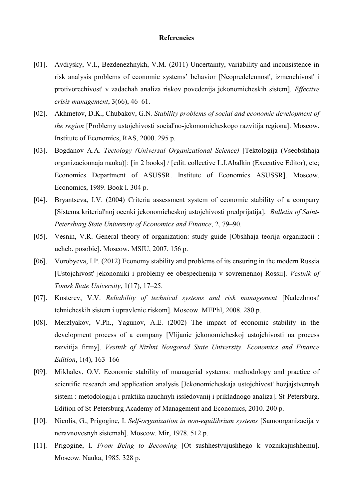#### **Referencies**

- [01]. Avdiysky, V.I., Bezdenezhnykh, V.M. (2011) Uncertainty, variability and inconsistence in risk analysis problems of economic systems' behavior [Neopredelennost', izmenchivost' i protivorechivost' v zadachah analiza riskov povedenija jekonomicheskih sistem]. *Effective crisis management*, 3(66), 46–61.
- [02]. Akhmetov, D.K., Chubakov, G.N*. Stability problems of social and economic development of the region* [Problemy ustojchivosti social'no-jekonomicheskogo razvitija regiona]. Moscow. Institute of Economics, RAS, 2000. 295 p.
- [03]. Bogdanov А.А. *Tectology (Universal Organizational Science)* [Tektologija (Vseobshhaja organizacionnaja nauka)]: [in 2 books] / [edit. collective L.I.Abalkin (Executive Editor), etc; Economics Department of ASUSSR. Institute of Economics ASUSSR]. Moscow. Economics, 1989. Book l. 304 p.
- [04]. Bryantseva, I.V. (2004) Criteria assessment system of economic stability of a company [Sistema kriterial'noj ocenki jekonomicheskoj ustojchivosti predprijatija]. *Bulletin of Saint-Petersburg State University of Economics and Finance*, 2, 79–90.
- [05]. Vesnin, V.R. General theory of organization: study guide [Obshhaja teorija organizacii : ucheb. posobie]. Moscow. МSIU, 2007. 156 p.
- [06]. Vorobyeva, I.P. (2012) Economy stability and problems of its ensuring in the modern Russia [Ustojchivost' jekonomiki i problemy ee obespechenija v sovremennoj Rossii]. *Vestnik of Tomsk State University*, 1(17), 17–25.
- [07]. Kosterev, V.V. *Reliability of technical systems and risk management* [Nadezhnost' tehnicheskih sistem i upravlenie riskom]. Moscow. MEPhI, 2008. 280 p.
- [08]. Merzlyakov, V.Ph., Yagunov, А.Е. (2002) The impact of economic stability in the development process of a company [Vlijanie jekonomicheskoj ustojchivosti na process razvitija firmy]. *Vestnik of Nizhni Novgorod State University. Economics and Finance Edition*, 1(4), 163–166
- [09]. Mikhalev, O.V. Economic stability of managerial systems: methodology and practice of scientific research and application analysis [Jekonomicheskaja ustojchivost' hozjajstvennyh sistem : metodologija i praktika nauchnyh issledovanij i prikladnogo analiza]. St-Petersburg. Edition of St-Petersburg Academy of Management and Economics, 2010. 200 p.
- [10]. Nicolis, G., Prigogine, I. *Self-organization in non-equilibrium systems* [Samoorganizacija v neravnovesnyh sistemah]. Moscow. Mir, 1978. 512 p.
- [11]. Prigogine, I. *From Being to Becoming* [Ot sushhestvujushhego k voznikajushhemu]. Moscow. Nauka, 1985. 328 p.